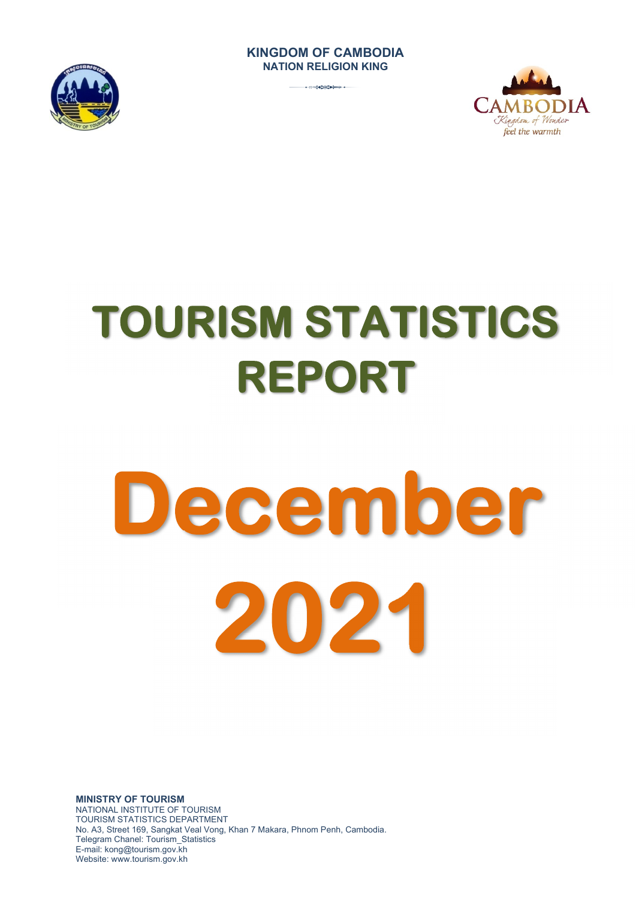## **KINGDOM OF CAMBODIA NATION RELIGION KING**







# **TOURISM STATISTICS REPORT**

# **December 2021**

**MINISTRY OF TOURISM**  NATIONAL INSTITUTE OF TOURISM TOURISM STATISTICS DEPARTMENT No. A3, Street 169, Sangkat Veal Vong, Khan 7 Makara, Phnom Penh, Cambodia. Telegram Chanel: Tourism\_Statistics E-mail: kong@tourism.gov.kh Website: www.tourism.gov.kh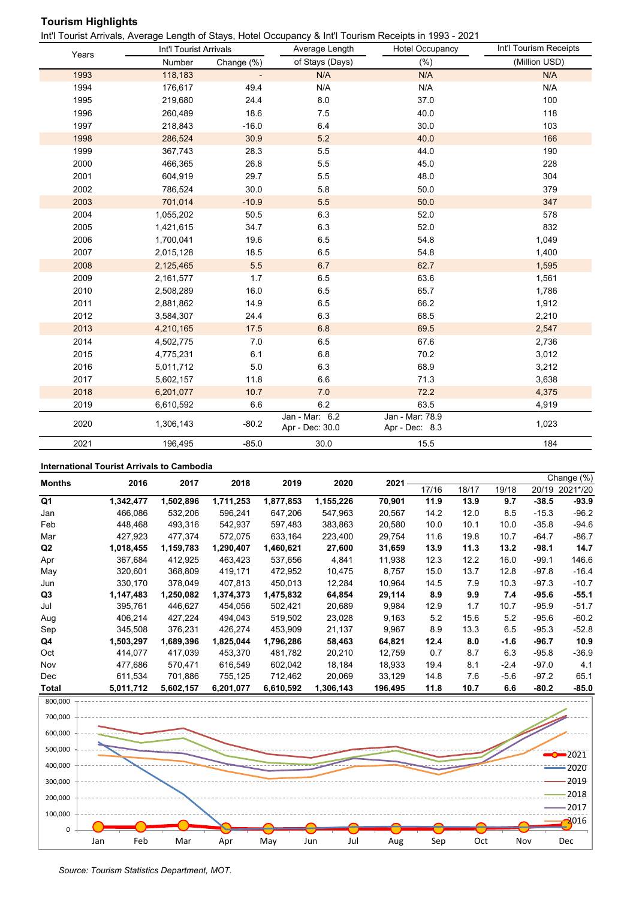## **Tourism Highlights**

Int'l Tourist Arrivals, Average Length of Stays, Hotel Occupancy & Int'l Tourism Receipts in 1993 - 2021

| Years | Int'l Tourist Arrivals |            | Average Length                    | Hotel Occupancy                   | Int'l Tourism Receipts |
|-------|------------------------|------------|-----------------------------------|-----------------------------------|------------------------|
|       | Number                 | Change (%) | of Stays (Days)                   | (% )                              | (Million USD)          |
| 1993  | 118,183                |            | N/A                               | N/A                               | N/A                    |
| 1994  | 176,617                | 49.4       | N/A                               | N/A                               | N/A                    |
| 1995  | 219,680                | 24.4       | 8.0                               | 37.0                              | 100                    |
| 1996  | 260,489                | 18.6       | 7.5                               | 40.0                              | 118                    |
| 1997  | 218,843                | $-16.0$    | 6.4                               | 30.0                              | 103                    |
| 1998  | 286,524                | 30.9       | 5.2                               | 40.0                              | 166                    |
| 1999  | 367,743                | 28.3       | 5.5                               | 44.0                              | 190                    |
| 2000  | 466,365                | 26.8       | 5.5                               | 45.0                              | 228                    |
| 2001  | 604,919                | 29.7       | 5.5                               | 48.0                              | 304                    |
| 2002  | 786,524                | 30.0       | 5.8                               | 50.0                              | 379                    |
| 2003  | 701,014                | $-10.9$    | 5.5                               | 50.0                              | 347                    |
| 2004  | 1,055,202              | 50.5       | 6.3                               | 52.0                              | 578                    |
| 2005  | 1,421,615              | 34.7       | 6.3                               | 52.0                              | 832                    |
| 2006  | 1,700,041              | 19.6       | 6.5                               | 54.8                              | 1,049                  |
| 2007  | 2,015,128              | 18.5       | 6.5                               | 54.8                              | 1,400                  |
| 2008  | 2,125,465              | 5.5        | 6.7                               | 62.7                              | 1,595                  |
| 2009  | 2,161,577              | 1.7        | 6.5                               | 63.6                              | 1,561                  |
| 2010  | 2,508,289              | 16.0       | 6.5                               | 65.7                              | 1,786                  |
| 2011  | 2,881,862              | 14.9       | 6.5                               | 66.2                              | 1,912                  |
| 2012  | 3,584,307              | 24.4       | 6.3                               | 68.5                              | 2,210                  |
| 2013  | 4,210,165              | 17.5       | 6.8                               | 69.5                              | 2,547                  |
| 2014  | 4,502,775              | 7.0        | 6.5                               | 67.6                              | 2,736                  |
| 2015  | 4,775,231              | 6.1        | 6.8                               | 70.2                              | 3,012                  |
| 2016  | 5,011,712              | 5.0        | 6.3                               | 68.9                              | 3,212                  |
| 2017  | 5,602,157              | 11.8       | 6.6                               | 71.3                              | 3,638                  |
| 2018  | 6,201,077              | 10.7       | 7.0                               | 72.2                              | 4,375                  |
| 2019  | 6,610,592              | 6.6        | 6.2                               | 63.5                              | 4,919                  |
| 2020  | 1,306,143              | $-80.2$    | Jan - Mar: 6.2<br>Apr - Dec: 30.0 | Jan - Mar: 78.9<br>Apr - Dec: 8.3 | 1,023                  |
| 2021  | 196,495                | $-85.0$    | 30.0                              | 15.5                              | 184                    |

#### **International Tourist Arrivals to Cambodia**

| <b>Months</b>  | 2016      | 2017      | 2018      | 2019      | 2020      | 2021    |       |       |       |         | Change (%) |
|----------------|-----------|-----------|-----------|-----------|-----------|---------|-------|-------|-------|---------|------------|
|                |           |           |           |           |           |         | 17/16 | 18/17 | 19/18 | 20/19   | 2021*/20   |
| Q1             | 1,342,477 | 1,502,896 | 1,711,253 | 1,877,853 | 1,155,226 | 70,901  | 11.9  | 13.9  | 9.7   | $-38.5$ | $-93.9$    |
| Jan            | 466,086   | 532,206   | 596,241   | 647,206   | 547,963   | 20,567  | 14.2  | 12.0  | 8.5   | $-15.3$ | $-96.2$    |
| Feb            | 448,468   | 493,316   | 542,937   | 597,483   | 383,863   | 20,580  | 10.0  | 10.1  | 10.0  | $-35.8$ | $-94.6$    |
| Mar            | 427,923   | 477,374   | 572,075   | 633,164   | 223,400   | 29,754  | 11.6  | 19.8  | 10.7  | $-64.7$ | $-86.7$    |
| Q <sub>2</sub> | 1,018,455 | 1,159,783 | 1,290,407 | 1,460,621 | 27,600    | 31,659  | 13.9  | 11.3  | 13.2  | $-98.1$ | 14.7       |
| Apr            | 367,684   | 412,925   | 463,423   | 537,656   | 4,841     | 11,938  | 12.3  | 12.2  | 16.0  | $-99.1$ | 146.6      |
| May            | 320,601   | 368,809   | 419,171   | 472,952   | 10,475    | 8.757   | 15.0  | 13.7  | 12.8  | $-97.8$ | $-16.4$    |
| Jun            | 330,170   | 378,049   | 407,813   | 450,013   | 12,284    | 10,964  | 14.5  | 7.9   | 10.3  | $-97.3$ | $-10.7$    |
| Q3             | 1,147,483 | 1,250,082 | 1,374,373 | 1,475,832 | 64,854    | 29,114  | 8.9   | 9.9   | 7.4   | $-95.6$ | $-55.1$    |
| Jul            | 395,761   | 446,627   | 454,056   | 502,421   | 20,689    | 9,984   | 12.9  | 1.7   | 10.7  | $-95.9$ | $-51.7$    |
| Aug            | 406,214   | 427,224   | 494,043   | 519,502   | 23,028    | 9,163   | 5.2   | 15.6  | 5.2   | $-95.6$ | $-60.2$    |
| Sep            | 345,508   | 376,231   | 426,274   | 453,909   | 21,137    | 9,967   | 8.9   | 13.3  | 6.5   | $-95.3$ | $-52.8$    |
| Q4             | 1,503,297 | 1,689,396 | 1,825,044 | 1,796,286 | 58,463    | 64,821  | 12.4  | 8.0   | -1.6  | $-96.7$ | 10.9       |
| Oct            | 414,077   | 417,039   | 453,370   | 481,782   | 20,210    | 12,759  | 0.7   | 8.7   | 6.3   | $-95.8$ | $-36.9$    |
| Nov            | 477,686   | 570,471   | 616,549   | 602,042   | 18,184    | 18,933  | 19.4  | 8.1   | -2.4  | $-97.0$ | 4.1        |
| Dec            | 611,534   | 701,886   | 755,125   | 712,462   | 20,069    | 33,129  | 14.8  | 7.6   | -5.6  | $-97.2$ | 65.1       |
| Total          | 5,011,712 | 5,602,157 | 6,201,077 | 6,610,592 | 1,306,143 | 196,495 | 11.8  | 10.7  | 6.6   | $-80.2$ | -85.0      |



```
Source: Tourism Statistics Department, MOT.
```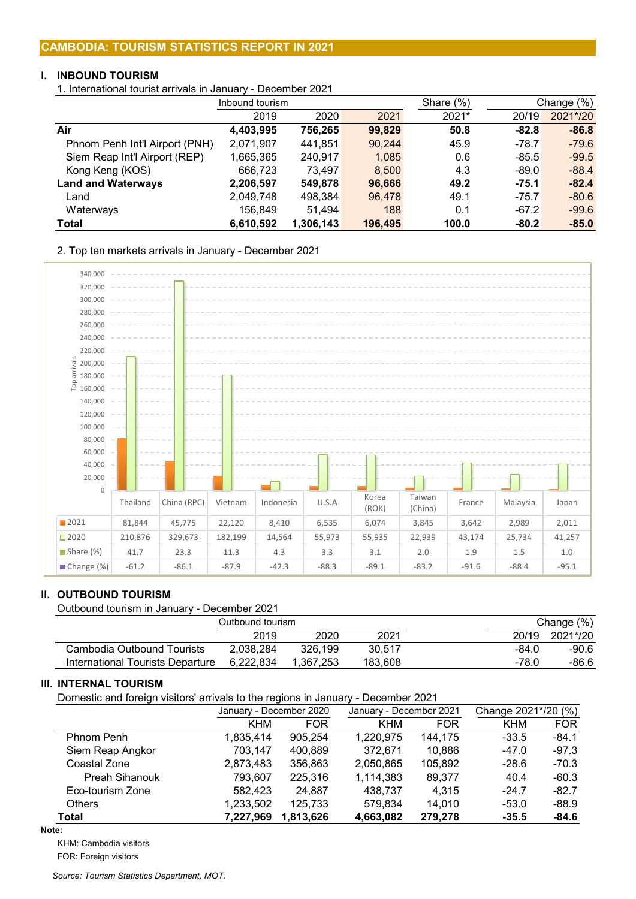# **I. INBOUND TOURISM**

1. International tourist arrivals in January - December 2021

|                                | Inbound tourism |           |         | Share $(\%)$ |         | Change $(\%)$ |
|--------------------------------|-----------------|-----------|---------|--------------|---------|---------------|
|                                | 2019            | 2020      | 2021    | 2021*        | 20/19   | 2021*/20      |
| Air                            | 4,403,995       | 756,265   | 99,829  | 50.8         | $-82.8$ | $-86.8$       |
| Phnom Penh Int'l Airport (PNH) | 2,071,907       | 441,851   | 90,244  | 45.9         | $-78.7$ | $-79.6$       |
| Siem Reap Int'l Airport (REP)  | 1,665,365       | 240,917   | 1,085   | 0.6          | $-85.5$ | $-99.5$       |
| Kong Keng (KOS)                | 666,723         | 73.497    | 8,500   | 4.3          | $-89.0$ | $-88.4$       |
| <b>Land and Waterways</b>      | 2,206,597       | 549,878   | 96,666  | 49.2         | $-75.1$ | $-82.4$       |
| Land                           | 2,049,748       | 498,384   | 96,478  | 49.1         | $-75.7$ | $-80.6$       |
| Waterways                      | 156,849         | 51.494    | 188     | 0.1          | $-67.2$ | $-99.6$       |
| Total                          | 6,610,592       | 1,306,143 | 196,495 | 100.0        | $-80.2$ | $-85.0$       |

2. Top ten markets arrivals in January - December 2021



# **II. OUTBOUND TOURISM**

Outbound tourism in January - December 2021

|                                  | Outbound tourism |           |         | Change (%) |          |  |
|----------------------------------|------------------|-----------|---------|------------|----------|--|
|                                  | 2019             | 2020      | 2021    | 20/19      | 2021*/20 |  |
| Cambodia Outbound Tourists       | 2.038.284        | 326.199   | 30.517  | -84.0      | -90.6    |  |
| International Tourists Departure | 6.222.834        | 1.367.253 | 183.608 | $-78.0$    | -86.6    |  |

# **III. INTERNAL TOURISM**

Domestic and foreign visitors' arrivals to the regions in January - December 2021

|                       |           | January - December 2020 |            | January - December 2021 | Change 2021*/20 (%) |            |  |
|-----------------------|-----------|-------------------------|------------|-------------------------|---------------------|------------|--|
|                       | KHM       | <b>FOR</b>              | <b>KHM</b> | <b>FOR</b>              | <b>KHM</b>          | <b>FOR</b> |  |
| Phnom Penh            | 1.835.414 | 905,254                 | 1,220,975  | 144.175                 | $-33.5$             | $-84.1$    |  |
| Siem Reap Angkor      | 703,147   | 400,889                 | 372.671    | 10,886                  | $-47.0$             | $-97.3$    |  |
| Coastal Zone          | 2,873,483 | 356,863                 | 2,050,865  | 105,892                 | $-28.6$             | $-70.3$    |  |
| <b>Preah Sihanouk</b> | 793.607   | 225,316                 | 1,114,383  | 89,377                  | 40.4                | $-60.3$    |  |
| Eco-tourism Zone      | 582,423   | 24,887                  | 438.737    | 4,315                   | $-24.7$             | $-82.7$    |  |
| Others                | 1,233,502 | 125,733                 | 579,834    | 14,010                  | $-53.0$             | $-88.9$    |  |
| Total                 | 7,227,969 | 1,813,626               | 4,663,082  | 279,278                 | $-35.5$             | $-84.6$    |  |

**Note:**

KHM: Cambodia visitors

FOR: Foreign visitors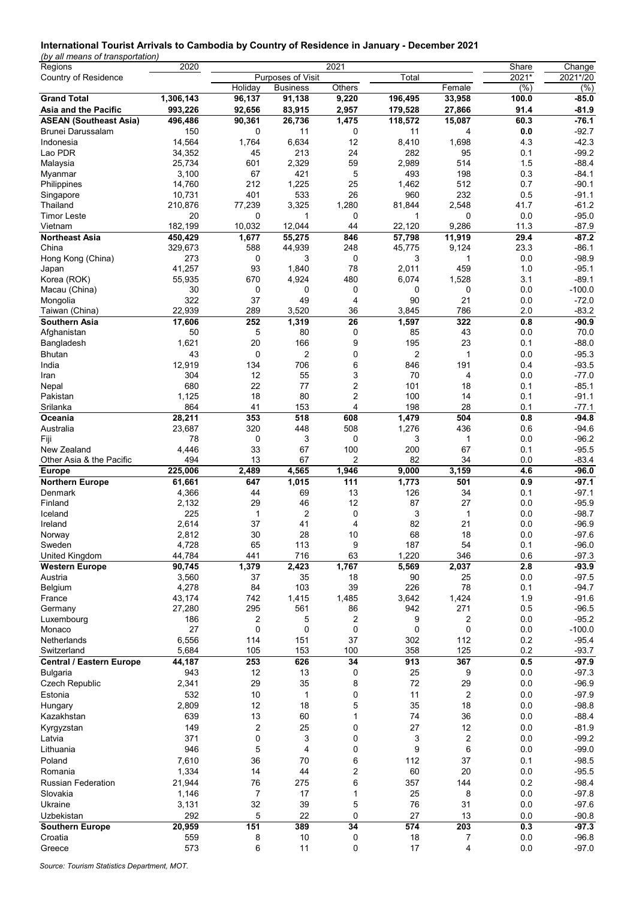#### **International Tourist Arrivals to Cambodia by Country of Residence in January - December 2021**

*(by all means of transportation)*

| Regions                         | 2020       |                     |                   | 2021           |                |                | Share      | Change             |
|---------------------------------|------------|---------------------|-------------------|----------------|----------------|----------------|------------|--------------------|
| Country of Residence            |            |                     | Purposes of Visit |                | Total          |                | $2021*$    | 2021*/20           |
|                                 |            | Holiday             | <b>Business</b>   | Others         |                | Female         | (%)        | (% )               |
| <b>Grand Total</b>              | 1,306,143  | $\overline{96,}137$ | 91,138            | 9,220          | 196,495        | 33,958         | 100.0      | $-85.0$            |
| Asia and the Pacific            | 993,226    | 92,656              | 83,915            | 2,957          | 179,528        | 27,866         | 91.4       | $-81.9$            |
| <b>ASEAN (Southeast Asia)</b>   | 496,486    | 90,361              | 26,736            | 1,475          | 118,572        | 15,087         | 60.3       | $-76.1$            |
| Brunei Darussalam               | 150        | 0                   | 11                | 0              | 11             | 4              | 0.0        | $-92.7$            |
| Indonesia                       | 14,564     | 1,764               | 6,634             | 12             | 8,410          | 1,698          | 4.3        | $-42.3$            |
| Lao PDR                         | 34,352     | 45                  | 213               | 24             | 282            | 95             | 0.1        | $-99.2$            |
| Malaysia                        | 25,734     | 601                 | 2,329             | 59             | 2,989          | 514            | 1.5        | $-88.4$            |
| Myanmar                         | 3,100      | 67                  | 421               | 5              | 493            | 198            | 0.3        | -84.1              |
| Philippines                     | 14,760     | 212                 | 1,225             | 25             | 1,462          | 512            | 0.7        | $-90.1$            |
| Singapore                       | 10,731     | 401                 | 533               | 26             | 960            | 232            | 0.5        | $-91.1$            |
| Thailand                        | 210,876    | 77,239              | 3,325             | 1,280          | 81,844         | 2,548          | 41.7       | $-61.2$            |
| <b>Timor Leste</b>              | 20         | 0                   | 1                 | 0              | 1              | 0              | 0.0        | $-95.0$            |
| Vietnam                         | 182,199    | 10,032              | 12,044            | 44             | 22,120         | 9,286          | 11.3       | $-87.9$            |
| <b>Northeast Asia</b>           | 450,429    | 1,677               | 55,275            | 846            | 57,798         | 11,919         | 29.4       | $-87.2$            |
| China                           | 329,673    | 588                 | 44,939            | 248            | 45,775         | 9,124          | 23.3       | $-86.1$            |
| Hong Kong (China)               | 273        | 0                   | 3                 | 0              | 3              | 1              | 0.0        | $-98.9$            |
| Japan                           | 41,257     | 93                  | 1,840             | 78             | 2,011          | 459            | 1.0        | $-95.1$            |
| Korea (ROK)                     | 55,935     | 670                 | 4,924             | 480            | 6,074          | 1,528          | 3.1        | $-89.1$            |
| Macau (China)                   | 30         | 0                   | 0                 | 0              | 0              | 0              | 0.0        | $-100.0$           |
| Mongolia                        | 322        | 37                  | 49                | 4              | 90             | 21             | 0.0        | $-72.0$            |
| Taiwan (China)                  | 22,939     | 289                 | 3,520             | 36             | 3,845          | 786            | 2.0        | $-83.2$            |
| Southern Asia                   | 17,606     | 252                 | 1,319             | 26             | 1,597          | 322            | 0.8        | $-90.9$            |
| Afghanistan                     | 50         | 5                   | 80                | 0              | 85             | 43             | 0.0        | 70.0               |
| Bangladesh                      | 1,621      | 20                  | 166               | 9              | 195            | 23             | 0.1        | $-88.0$            |
| Bhutan                          | 43         | 0                   | 2                 | 0              | $\overline{2}$ | 1              | 0.0        | $-95.3$            |
| India                           | 12,919     | 134                 | 706               | 6              | 846            | 191            | 0.4        | $-93.5$            |
| Iran                            | 304        | 12                  | 55                | 3              | 70             | $\overline{4}$ | 0.0        | $-77.0$            |
| Nepal                           | 680        | 22                  | 77                | 2              | 101            | 18             | 0.1        | $-85.1$            |
| Pakistan                        | 1,125      | 18                  | 80                | $\overline{2}$ | 100            | 14             | 0.1        | $-91.1$            |
| Srilanka                        | 864        | 41                  | 153               | 4              | 198            | 28             | 0.1        | $-77.1$            |
| Oceania                         | 28,211     | 353                 | 518               | 608            | 1,479          | 504            | 0.8        | $-94.8$            |
| Australia                       | 23,687     | 320                 | 448               | 508            | 1,276          | 436            | 0.6        | $-94.6$            |
| Fiji                            | 78         | 0                   | 3                 | 0              | 3              | $\mathbf{1}$   | 0.0        | $-96.2$            |
| New Zealand                     | 4,446      | 33                  | 67                | 100            | 200            | 67             | 0.1        | $-95.5$            |
| Other Asia & the Pacific        | 494        | 13                  | 67                | 2              | 82             | 34             | 0.0        | $-83.4$            |
| <b>Europe</b>                   | 225,006    | 2,489               | 4,565             | 1,946          | 9,000          | 3,159          | 4.6        | $-96.0$            |
| <b>Northern Europe</b>          | 61,661     | 647                 | 1,015             | 111            | 1,773          | 501            | 0.9        | $-97.1$            |
| Denmark                         | 4,366      | 44                  | 69                | 13             | 126            | 34             | 0.1        | $-97.1$            |
| Finland                         | 2,132      | 29                  | 46                | 12             | 87             | 27             | 0.0        | $-95.9$            |
| Iceland                         | 225        | 1                   | 2                 | 0              | 3              | $\mathbf{1}$   | 0.0        | -98.7              |
| Ireland                         | 2,614      | 37                  | 41                | 4              | 82             | 21             | 0.0        | $-96.9$            |
| Norway                          | 2,812      | 30                  | 28                | 10             | 68             | 18             | 0.0        | $-97.6$            |
| Sweden                          | 4,728      | 65                  | 113               | 9              | 187            | 54             | 0.1        | -96.0              |
| United Kingdom                  | 44,784     | 441                 | 716               | 63             | 1,220          | 346            | 0.6        | $-97.3$            |
| <b>Western Europe</b>           | 90,745     | 1,379               | 2,423             | 1,767          | 5,569          | 2,037          | 2.8        | $-93.9$            |
| Austria                         | 3,560      | 37                  | 35                | 18             | 90             | 25             | 0.0        | $-97.5$            |
| Belgium                         | 4,278      | 84                  | 103               | 39             | 226            | 78             | 0.1        | $-94.7$            |
| France                          | 43,174     | 742                 | 1,415             | 1,485          | 3,642          | 1,424          | 1.9        | $-91.6$            |
| Germany                         | 27,280     | 295                 | 561               | 86             | 942            | 271            | 0.5        | $-96.5$            |
| Luxembourg                      | 186        | 2                   | 5                 | 2              | 9              | 2              | 0.0        | $-95.2$            |
| Monaco                          | 27         | 0                   | 0                 | 0              | $\mathbf 0$    | $\mathbf 0$    | 0.0        | $-100.0$           |
| Netherlands                     | 6,556      | 114                 | 151               | 37             | 302            | 112            | 0.2        | $-95.4$            |
| Switzerland                     | 5,684      | 105                 | 153               | 100            | 358            | 125            | 0.2        | $-93.7$            |
| <b>Central / Eastern Europe</b> | 44,187     | 253                 | 626               | 34             | 913            | 367            | 0.5        | $-97.9$            |
| Bulgaria                        | 943        | 12                  | 13                | 0              | 25             | 9              | 0.0        | $-97.3$            |
| <b>Czech Republic</b>           | 2,341      | 29                  | 35                | 8              | 72             | 29             | 0.0        | $-96.9$            |
| Estonia                         | 532        | 10                  | 1                 | 0              | 11             | $\overline{2}$ | 0.0        | $-97.9$            |
| Hungary                         |            |                     |                   |                |                |                |            | $-98.8$            |
|                                 |            |                     |                   |                |                |                |            |                    |
|                                 | 2,809      | 12                  | 18                | 5              | 35             | 18             | 0.0        |                    |
| Kazakhstan                      | 639        | 13                  | 60                | $\mathbf{1}$   | 74             | 36             | 0.0        | $-88.4$            |
| Kyrgyzstan                      | 149        | $\overline{c}$      | 25                | 0              | 27             | 12             | 0.0        | $-81.9$            |
| Latvia                          | 371        | 0                   | 3                 | 0              | 3              | $\overline{2}$ | 0.0        | $-99.2$            |
| Lithuania                       | 946        | 5                   | 4                 | 0              | 9              | 6              | 0.0        | $-99.0$            |
| Poland                          | 7,610      | 36                  | 70                | 6              | 112            | 37             | 0.1        | $-98.5$            |
| Romania                         | 1,334      | 14                  | 44                | 2              | 60             | 20             | $0.0\,$    | $-95.5$            |
| <b>Russian Federation</b>       | 21,944     | 76                  | 275               | 6              | 357            | 144            | 0.2        | $-98.4$            |
| Slovakia                        | 1,146      | 7                   | 17                | 1              | 25             | 8              | 0.0        | $-97.8$            |
| Ukraine                         | 3,131      | 32                  | 39                | 5              | 76             | 31             | 0.0        | $-97.6$            |
| Uzbekistan                      | 292        | 5                   | 22                | 0              | 27             | 13             | 0.0        | $-90.8$            |
| <b>Southern Europe</b>          | 20,959     | 151                 | 389               | 34             | 574            | 203            | 0.3        | $-97.3$            |
| Croatia<br>Greece               | 559<br>573 | 8<br>6              | 10<br>11          | 0<br>0         | 18<br>17       | 7<br>4         | 0.0<br>0.0 | $-96.8$<br>$-97.0$ |

*Source: Tourism Statistics Department, MOT.*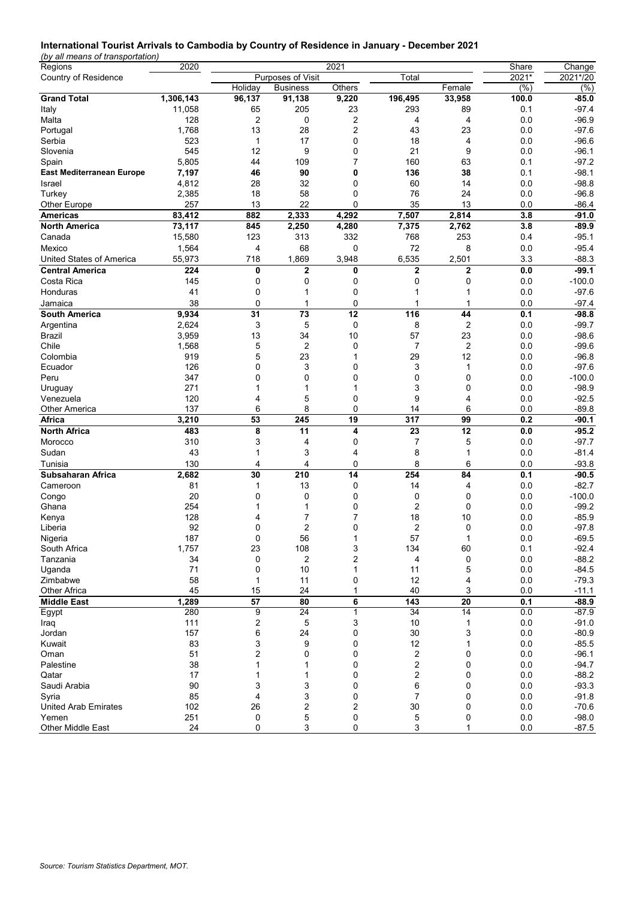# **International Tourist Arrivals to Cambodia by Country of Residence in January - December 2021**

*(by all means of transportation)*

| Purposes of Visit<br>$2021*$<br>2021*/20<br>Country of Residence<br>Total<br>Holiday<br>Others<br>Female<br>$(\% )$<br>(%)<br><b>Business</b><br><b>Grand Total</b><br>1,306,143<br>96,137<br>9,220<br>196,495<br>33,958<br>100.0<br>$-85.0$<br>91,138<br>11,058<br>205<br>23<br>293<br>89<br>0.1<br>$-97.4$<br>Italy<br>65<br>$\overline{c}$<br>0<br>2<br>4<br>0.0<br>$-96.9$<br>Malta<br>128<br>4<br>2<br>1,768<br>13<br>28<br>43<br>23<br>0.0<br>$-97.6$<br>Portugal<br>523<br>Serbia<br>17<br>18<br>0.0<br>$-96.6$<br>0<br>4<br>1<br>545<br>12<br>9<br>0<br>21<br>9<br>Slovenia<br>0.0<br>-96.1<br>5,805<br>160<br>63<br>$-97.2$<br>Spain<br>44<br>109<br>7<br>0.1<br>7,197<br>46<br>90<br>0<br>136<br>38<br>0.1<br>$-98.1$<br><b>East Mediterranean Europe</b><br>4,812<br>28<br>32<br>60<br>0.0<br>$-98.8$<br>Israel<br>0<br>14<br>2,385<br>18<br>58<br>76<br>24<br>0.0<br>$-96.8$<br>Turkey<br>0<br>257<br>22<br>0<br>35<br>$-86.4$<br>Other Europe<br>13<br>13<br>0.0<br>83,412<br>4,292<br>7,507<br>882<br>2,333<br>2,814<br>3.8<br>$-91.0$<br><b>Americas</b><br>73,117<br><b>North America</b><br>845<br>2,250<br>4,280<br>7,375<br>2,762<br>3.8<br>$-89.9$<br>15,580<br>123<br>313<br>332<br>768<br>253<br>0.4<br>$-95.1$<br>Canada<br>Mexico<br>1,564<br>68<br>72<br>8<br>0.0<br>$-95.4$<br>4<br>0<br>United States of America<br>55,973<br>718<br>1,869<br>3,948<br>6,535<br>2,501<br>3.3<br>$-88.3$<br>$\overline{2}$<br>0.0<br>$-99.1$<br><b>Central America</b><br>224<br>0<br>0<br>2<br>$\mathbf 2$<br>0<br>Costa Rica<br>145<br>$\mathbf 0$<br>0<br>0<br>0<br>0.0<br>$-100.0$<br>0.0<br>$-97.6$<br>Honduras<br>41<br>0<br>1<br>0<br>1<br>1<br>38<br>0<br>0<br>1<br>0.0<br>$-97.4$<br>Jamaica<br>1<br>1<br>9,934<br>31<br>12<br>116<br>$-98.8$<br>South America<br>73<br>44<br>0.1<br>2,624<br>3<br>5<br>0<br>8<br>2<br>0.0<br>$-99.7$<br>Argentina<br>57<br>3,959<br>13<br>34<br>10<br>23<br>0.0<br>$-98.6$<br>Brazil<br>Chile<br>1,568<br>5<br>2<br>2<br>0.0<br>$-99.6$<br>0<br>7<br>5<br>23<br>29<br>12<br>Colombia<br>919<br>0.0<br>-96.8<br>1<br>126<br>3<br>3<br>0.0<br>$-97.6$<br>Ecuador<br>0<br>0<br>1<br>347<br>$\mathbf 0$<br>0<br>0<br>0.0<br>$-100.0$<br>Peru<br>0<br>0<br>271<br>3<br>0<br>0.0<br>$-98.9$<br>1<br>1<br>Uruguay<br>1<br>9<br>120<br>5<br>$-92.5$<br>Venezuela<br>0<br>4<br>0.0<br>4<br>137<br>8<br>0<br>6<br>0.0<br>$-89.8$<br><b>Other America</b><br>6<br>14<br>3,210<br>53<br>245<br>19<br>317<br>99<br>0.2<br>$-90.1$<br>Africa<br>8<br>11<br>23<br>12<br><b>North Africa</b><br>483<br>4<br>0.0<br>$-95.2$<br>310<br>3<br>4<br>0<br>7<br>5<br>0.0<br>$-97.7$<br>Morocco<br>Sudan<br>43<br>3<br>8<br>$-81.4$<br>1<br>4<br>1<br>0.0<br>130<br>8<br>Tunisia<br>4<br>4<br>0<br>6<br>0.0<br>$-93.8$<br>210<br>14<br>254<br>Subsaharan Africa<br>2,682<br>30<br>84<br>0.1<br>$-90.5$<br>81<br>13<br>0<br>14<br>0.0<br>$-82.7$<br>1<br>4<br>Cameroon<br>20<br>0<br>0.0<br>$-100.0$<br>Congo<br>0<br>0<br>0<br>0<br>2<br>254<br>0<br>0<br>$-99.2$<br>Ghana<br>1<br>0.0<br>128<br>18<br>10<br>$-85.9$<br>7<br>7<br>0.0<br>Kenya<br>4<br>2<br>2<br>92<br>0<br>0<br>0.0<br>$-97.8$<br>0<br>Liberia<br>187<br>56<br>57<br>0.0<br>$-69.5$<br>0<br>1<br>1<br>Nigeria<br>1,757<br>23<br>108<br>3<br>134<br>60<br>0.1<br>$-92.4$<br>South Africa<br>2<br>34<br>0<br>$\overline{\mathbf{c}}$<br>4<br>0<br>0.0<br>$-88.2$<br>Tanzania<br>5<br>Uganda<br>71<br>10<br>0.0<br>$-84.5$<br>0<br>11<br>1<br>58<br>11<br>12<br>$0.0\,$<br>$-79.3$<br>Zimbabwe<br>0<br>4<br>1<br>45<br>24<br>40<br>3<br>Other Africa<br>15<br>1<br>0.0<br>$-11.1$<br>57<br>1,289<br>80<br>6<br>143<br>20<br>0.1<br>$-88.9$<br><b>Middle East</b><br>280<br>9<br>24<br>34<br>14<br>0.0<br>$-87.9$<br>Egypt<br>1<br>111<br>2<br>5<br>3<br>10<br>0.0<br>$-91.0$<br>1<br>Iraq<br>157<br>6<br>24<br>0<br>30<br>3<br>0.0<br>$-80.9$<br>Jordan<br>83<br>3<br>9<br>12<br>0.0<br>$-85.5$<br>Kuwait<br>0<br>1<br>51<br>2<br>0<br>0<br>2<br>0<br>0.0<br>Oman<br>$-96.1$<br>2<br>38<br>0<br>0.0<br>Palestine<br>0<br>$-94.7$<br>2<br>17<br>0.0<br>$-88.2$<br>Qatar<br>0<br>0<br>1<br>1<br>90<br>3<br>3<br>0<br>6<br>0<br>0.0<br>$-93.3$<br>Saudi Arabia<br>85<br>3<br>0<br>7<br>0.0<br>Syria<br>4<br>0<br>$-91.8$<br>$\overline{\mathbf{c}}$<br>$30\,$<br>102<br>26<br>2<br>0<br>0.0<br>$-70.6$<br><b>United Arab Emirates</b><br>251<br>0<br>5<br>0<br>5<br>0.0<br>$-98.0$<br>Yemen<br>0 | Regions           | 2020 |             |   | 2021 |   |   | Share | Change  |
|-----------------------------------------------------------------------------------------------------------------------------------------------------------------------------------------------------------------------------------------------------------------------------------------------------------------------------------------------------------------------------------------------------------------------------------------------------------------------------------------------------------------------------------------------------------------------------------------------------------------------------------------------------------------------------------------------------------------------------------------------------------------------------------------------------------------------------------------------------------------------------------------------------------------------------------------------------------------------------------------------------------------------------------------------------------------------------------------------------------------------------------------------------------------------------------------------------------------------------------------------------------------------------------------------------------------------------------------------------------------------------------------------------------------------------------------------------------------------------------------------------------------------------------------------------------------------------------------------------------------------------------------------------------------------------------------------------------------------------------------------------------------------------------------------------------------------------------------------------------------------------------------------------------------------------------------------------------------------------------------------------------------------------------------------------------------------------------------------------------------------------------------------------------------------------------------------------------------------------------------------------------------------------------------------------------------------------------------------------------------------------------------------------------------------------------------------------------------------------------------------------------------------------------------------------------------------------------------------------------------------------------------------------------------------------------------------------------------------------------------------------------------------------------------------------------------------------------------------------------------------------------------------------------------------------------------------------------------------------------------------------------------------------------------------------------------------------------------------------------------------------------------------------------------------------------------------------------------------------------------------------------------------------------------------------------------------------------------------------------------------------------------------------------------------------------------------------------------------------------------------------------------------------------------------------------------------------------------------------------------------------------------------------------------------------------------------------------------------------------------------------------------------------------------------------------------------------------------------------------------------------------------------------------------------------------------------------------------------------------------------------------------------------------------------------------------------------------------------------------------------------------------------------------------------------------------------------------------------------------------------------------------------------------------------------------------------------------------------------------------------------------------|-------------------|------|-------------|---|------|---|---|-------|---------|
|                                                                                                                                                                                                                                                                                                                                                                                                                                                                                                                                                                                                                                                                                                                                                                                                                                                                                                                                                                                                                                                                                                                                                                                                                                                                                                                                                                                                                                                                                                                                                                                                                                                                                                                                                                                                                                                                                                                                                                                                                                                                                                                                                                                                                                                                                                                                                                                                                                                                                                                                                                                                                                                                                                                                                                                                                                                                                                                                                                                                                                                                                                                                                                                                                                                                                                                                                                                                                                                                                                                                                                                                                                                                                                                                                                                                                                                                                                                                                                                                                                                                                                                                                                                                                                                                                                                                                                                         |                   |      |             |   |      |   |   |       |         |
|                                                                                                                                                                                                                                                                                                                                                                                                                                                                                                                                                                                                                                                                                                                                                                                                                                                                                                                                                                                                                                                                                                                                                                                                                                                                                                                                                                                                                                                                                                                                                                                                                                                                                                                                                                                                                                                                                                                                                                                                                                                                                                                                                                                                                                                                                                                                                                                                                                                                                                                                                                                                                                                                                                                                                                                                                                                                                                                                                                                                                                                                                                                                                                                                                                                                                                                                                                                                                                                                                                                                                                                                                                                                                                                                                                                                                                                                                                                                                                                                                                                                                                                                                                                                                                                                                                                                                                                         |                   |      |             |   |      |   |   |       |         |
|                                                                                                                                                                                                                                                                                                                                                                                                                                                                                                                                                                                                                                                                                                                                                                                                                                                                                                                                                                                                                                                                                                                                                                                                                                                                                                                                                                                                                                                                                                                                                                                                                                                                                                                                                                                                                                                                                                                                                                                                                                                                                                                                                                                                                                                                                                                                                                                                                                                                                                                                                                                                                                                                                                                                                                                                                                                                                                                                                                                                                                                                                                                                                                                                                                                                                                                                                                                                                                                                                                                                                                                                                                                                                                                                                                                                                                                                                                                                                                                                                                                                                                                                                                                                                                                                                                                                                                                         |                   |      |             |   |      |   |   |       |         |
|                                                                                                                                                                                                                                                                                                                                                                                                                                                                                                                                                                                                                                                                                                                                                                                                                                                                                                                                                                                                                                                                                                                                                                                                                                                                                                                                                                                                                                                                                                                                                                                                                                                                                                                                                                                                                                                                                                                                                                                                                                                                                                                                                                                                                                                                                                                                                                                                                                                                                                                                                                                                                                                                                                                                                                                                                                                                                                                                                                                                                                                                                                                                                                                                                                                                                                                                                                                                                                                                                                                                                                                                                                                                                                                                                                                                                                                                                                                                                                                                                                                                                                                                                                                                                                                                                                                                                                                         |                   |      |             |   |      |   |   |       |         |
|                                                                                                                                                                                                                                                                                                                                                                                                                                                                                                                                                                                                                                                                                                                                                                                                                                                                                                                                                                                                                                                                                                                                                                                                                                                                                                                                                                                                                                                                                                                                                                                                                                                                                                                                                                                                                                                                                                                                                                                                                                                                                                                                                                                                                                                                                                                                                                                                                                                                                                                                                                                                                                                                                                                                                                                                                                                                                                                                                                                                                                                                                                                                                                                                                                                                                                                                                                                                                                                                                                                                                                                                                                                                                                                                                                                                                                                                                                                                                                                                                                                                                                                                                                                                                                                                                                                                                                                         |                   |      |             |   |      |   |   |       |         |
|                                                                                                                                                                                                                                                                                                                                                                                                                                                                                                                                                                                                                                                                                                                                                                                                                                                                                                                                                                                                                                                                                                                                                                                                                                                                                                                                                                                                                                                                                                                                                                                                                                                                                                                                                                                                                                                                                                                                                                                                                                                                                                                                                                                                                                                                                                                                                                                                                                                                                                                                                                                                                                                                                                                                                                                                                                                                                                                                                                                                                                                                                                                                                                                                                                                                                                                                                                                                                                                                                                                                                                                                                                                                                                                                                                                                                                                                                                                                                                                                                                                                                                                                                                                                                                                                                                                                                                                         |                   |      |             |   |      |   |   |       |         |
|                                                                                                                                                                                                                                                                                                                                                                                                                                                                                                                                                                                                                                                                                                                                                                                                                                                                                                                                                                                                                                                                                                                                                                                                                                                                                                                                                                                                                                                                                                                                                                                                                                                                                                                                                                                                                                                                                                                                                                                                                                                                                                                                                                                                                                                                                                                                                                                                                                                                                                                                                                                                                                                                                                                                                                                                                                                                                                                                                                                                                                                                                                                                                                                                                                                                                                                                                                                                                                                                                                                                                                                                                                                                                                                                                                                                                                                                                                                                                                                                                                                                                                                                                                                                                                                                                                                                                                                         |                   |      |             |   |      |   |   |       |         |
|                                                                                                                                                                                                                                                                                                                                                                                                                                                                                                                                                                                                                                                                                                                                                                                                                                                                                                                                                                                                                                                                                                                                                                                                                                                                                                                                                                                                                                                                                                                                                                                                                                                                                                                                                                                                                                                                                                                                                                                                                                                                                                                                                                                                                                                                                                                                                                                                                                                                                                                                                                                                                                                                                                                                                                                                                                                                                                                                                                                                                                                                                                                                                                                                                                                                                                                                                                                                                                                                                                                                                                                                                                                                                                                                                                                                                                                                                                                                                                                                                                                                                                                                                                                                                                                                                                                                                                                         |                   |      |             |   |      |   |   |       |         |
|                                                                                                                                                                                                                                                                                                                                                                                                                                                                                                                                                                                                                                                                                                                                                                                                                                                                                                                                                                                                                                                                                                                                                                                                                                                                                                                                                                                                                                                                                                                                                                                                                                                                                                                                                                                                                                                                                                                                                                                                                                                                                                                                                                                                                                                                                                                                                                                                                                                                                                                                                                                                                                                                                                                                                                                                                                                                                                                                                                                                                                                                                                                                                                                                                                                                                                                                                                                                                                                                                                                                                                                                                                                                                                                                                                                                                                                                                                                                                                                                                                                                                                                                                                                                                                                                                                                                                                                         |                   |      |             |   |      |   |   |       |         |
|                                                                                                                                                                                                                                                                                                                                                                                                                                                                                                                                                                                                                                                                                                                                                                                                                                                                                                                                                                                                                                                                                                                                                                                                                                                                                                                                                                                                                                                                                                                                                                                                                                                                                                                                                                                                                                                                                                                                                                                                                                                                                                                                                                                                                                                                                                                                                                                                                                                                                                                                                                                                                                                                                                                                                                                                                                                                                                                                                                                                                                                                                                                                                                                                                                                                                                                                                                                                                                                                                                                                                                                                                                                                                                                                                                                                                                                                                                                                                                                                                                                                                                                                                                                                                                                                                                                                                                                         |                   |      |             |   |      |   |   |       |         |
|                                                                                                                                                                                                                                                                                                                                                                                                                                                                                                                                                                                                                                                                                                                                                                                                                                                                                                                                                                                                                                                                                                                                                                                                                                                                                                                                                                                                                                                                                                                                                                                                                                                                                                                                                                                                                                                                                                                                                                                                                                                                                                                                                                                                                                                                                                                                                                                                                                                                                                                                                                                                                                                                                                                                                                                                                                                                                                                                                                                                                                                                                                                                                                                                                                                                                                                                                                                                                                                                                                                                                                                                                                                                                                                                                                                                                                                                                                                                                                                                                                                                                                                                                                                                                                                                                                                                                                                         |                   |      |             |   |      |   |   |       |         |
|                                                                                                                                                                                                                                                                                                                                                                                                                                                                                                                                                                                                                                                                                                                                                                                                                                                                                                                                                                                                                                                                                                                                                                                                                                                                                                                                                                                                                                                                                                                                                                                                                                                                                                                                                                                                                                                                                                                                                                                                                                                                                                                                                                                                                                                                                                                                                                                                                                                                                                                                                                                                                                                                                                                                                                                                                                                                                                                                                                                                                                                                                                                                                                                                                                                                                                                                                                                                                                                                                                                                                                                                                                                                                                                                                                                                                                                                                                                                                                                                                                                                                                                                                                                                                                                                                                                                                                                         |                   |      |             |   |      |   |   |       |         |
|                                                                                                                                                                                                                                                                                                                                                                                                                                                                                                                                                                                                                                                                                                                                                                                                                                                                                                                                                                                                                                                                                                                                                                                                                                                                                                                                                                                                                                                                                                                                                                                                                                                                                                                                                                                                                                                                                                                                                                                                                                                                                                                                                                                                                                                                                                                                                                                                                                                                                                                                                                                                                                                                                                                                                                                                                                                                                                                                                                                                                                                                                                                                                                                                                                                                                                                                                                                                                                                                                                                                                                                                                                                                                                                                                                                                                                                                                                                                                                                                                                                                                                                                                                                                                                                                                                                                                                                         |                   |      |             |   |      |   |   |       |         |
|                                                                                                                                                                                                                                                                                                                                                                                                                                                                                                                                                                                                                                                                                                                                                                                                                                                                                                                                                                                                                                                                                                                                                                                                                                                                                                                                                                                                                                                                                                                                                                                                                                                                                                                                                                                                                                                                                                                                                                                                                                                                                                                                                                                                                                                                                                                                                                                                                                                                                                                                                                                                                                                                                                                                                                                                                                                                                                                                                                                                                                                                                                                                                                                                                                                                                                                                                                                                                                                                                                                                                                                                                                                                                                                                                                                                                                                                                                                                                                                                                                                                                                                                                                                                                                                                                                                                                                                         |                   |      |             |   |      |   |   |       |         |
|                                                                                                                                                                                                                                                                                                                                                                                                                                                                                                                                                                                                                                                                                                                                                                                                                                                                                                                                                                                                                                                                                                                                                                                                                                                                                                                                                                                                                                                                                                                                                                                                                                                                                                                                                                                                                                                                                                                                                                                                                                                                                                                                                                                                                                                                                                                                                                                                                                                                                                                                                                                                                                                                                                                                                                                                                                                                                                                                                                                                                                                                                                                                                                                                                                                                                                                                                                                                                                                                                                                                                                                                                                                                                                                                                                                                                                                                                                                                                                                                                                                                                                                                                                                                                                                                                                                                                                                         |                   |      |             |   |      |   |   |       |         |
|                                                                                                                                                                                                                                                                                                                                                                                                                                                                                                                                                                                                                                                                                                                                                                                                                                                                                                                                                                                                                                                                                                                                                                                                                                                                                                                                                                                                                                                                                                                                                                                                                                                                                                                                                                                                                                                                                                                                                                                                                                                                                                                                                                                                                                                                                                                                                                                                                                                                                                                                                                                                                                                                                                                                                                                                                                                                                                                                                                                                                                                                                                                                                                                                                                                                                                                                                                                                                                                                                                                                                                                                                                                                                                                                                                                                                                                                                                                                                                                                                                                                                                                                                                                                                                                                                                                                                                                         |                   |      |             |   |      |   |   |       |         |
|                                                                                                                                                                                                                                                                                                                                                                                                                                                                                                                                                                                                                                                                                                                                                                                                                                                                                                                                                                                                                                                                                                                                                                                                                                                                                                                                                                                                                                                                                                                                                                                                                                                                                                                                                                                                                                                                                                                                                                                                                                                                                                                                                                                                                                                                                                                                                                                                                                                                                                                                                                                                                                                                                                                                                                                                                                                                                                                                                                                                                                                                                                                                                                                                                                                                                                                                                                                                                                                                                                                                                                                                                                                                                                                                                                                                                                                                                                                                                                                                                                                                                                                                                                                                                                                                                                                                                                                         |                   |      |             |   |      |   |   |       |         |
|                                                                                                                                                                                                                                                                                                                                                                                                                                                                                                                                                                                                                                                                                                                                                                                                                                                                                                                                                                                                                                                                                                                                                                                                                                                                                                                                                                                                                                                                                                                                                                                                                                                                                                                                                                                                                                                                                                                                                                                                                                                                                                                                                                                                                                                                                                                                                                                                                                                                                                                                                                                                                                                                                                                                                                                                                                                                                                                                                                                                                                                                                                                                                                                                                                                                                                                                                                                                                                                                                                                                                                                                                                                                                                                                                                                                                                                                                                                                                                                                                                                                                                                                                                                                                                                                                                                                                                                         |                   |      |             |   |      |   |   |       |         |
|                                                                                                                                                                                                                                                                                                                                                                                                                                                                                                                                                                                                                                                                                                                                                                                                                                                                                                                                                                                                                                                                                                                                                                                                                                                                                                                                                                                                                                                                                                                                                                                                                                                                                                                                                                                                                                                                                                                                                                                                                                                                                                                                                                                                                                                                                                                                                                                                                                                                                                                                                                                                                                                                                                                                                                                                                                                                                                                                                                                                                                                                                                                                                                                                                                                                                                                                                                                                                                                                                                                                                                                                                                                                                                                                                                                                                                                                                                                                                                                                                                                                                                                                                                                                                                                                                                                                                                                         |                   |      |             |   |      |   |   |       |         |
|                                                                                                                                                                                                                                                                                                                                                                                                                                                                                                                                                                                                                                                                                                                                                                                                                                                                                                                                                                                                                                                                                                                                                                                                                                                                                                                                                                                                                                                                                                                                                                                                                                                                                                                                                                                                                                                                                                                                                                                                                                                                                                                                                                                                                                                                                                                                                                                                                                                                                                                                                                                                                                                                                                                                                                                                                                                                                                                                                                                                                                                                                                                                                                                                                                                                                                                                                                                                                                                                                                                                                                                                                                                                                                                                                                                                                                                                                                                                                                                                                                                                                                                                                                                                                                                                                                                                                                                         |                   |      |             |   |      |   |   |       |         |
|                                                                                                                                                                                                                                                                                                                                                                                                                                                                                                                                                                                                                                                                                                                                                                                                                                                                                                                                                                                                                                                                                                                                                                                                                                                                                                                                                                                                                                                                                                                                                                                                                                                                                                                                                                                                                                                                                                                                                                                                                                                                                                                                                                                                                                                                                                                                                                                                                                                                                                                                                                                                                                                                                                                                                                                                                                                                                                                                                                                                                                                                                                                                                                                                                                                                                                                                                                                                                                                                                                                                                                                                                                                                                                                                                                                                                                                                                                                                                                                                                                                                                                                                                                                                                                                                                                                                                                                         |                   |      |             |   |      |   |   |       |         |
|                                                                                                                                                                                                                                                                                                                                                                                                                                                                                                                                                                                                                                                                                                                                                                                                                                                                                                                                                                                                                                                                                                                                                                                                                                                                                                                                                                                                                                                                                                                                                                                                                                                                                                                                                                                                                                                                                                                                                                                                                                                                                                                                                                                                                                                                                                                                                                                                                                                                                                                                                                                                                                                                                                                                                                                                                                                                                                                                                                                                                                                                                                                                                                                                                                                                                                                                                                                                                                                                                                                                                                                                                                                                                                                                                                                                                                                                                                                                                                                                                                                                                                                                                                                                                                                                                                                                                                                         |                   |      |             |   |      |   |   |       |         |
|                                                                                                                                                                                                                                                                                                                                                                                                                                                                                                                                                                                                                                                                                                                                                                                                                                                                                                                                                                                                                                                                                                                                                                                                                                                                                                                                                                                                                                                                                                                                                                                                                                                                                                                                                                                                                                                                                                                                                                                                                                                                                                                                                                                                                                                                                                                                                                                                                                                                                                                                                                                                                                                                                                                                                                                                                                                                                                                                                                                                                                                                                                                                                                                                                                                                                                                                                                                                                                                                                                                                                                                                                                                                                                                                                                                                                                                                                                                                                                                                                                                                                                                                                                                                                                                                                                                                                                                         |                   |      |             |   |      |   |   |       |         |
|                                                                                                                                                                                                                                                                                                                                                                                                                                                                                                                                                                                                                                                                                                                                                                                                                                                                                                                                                                                                                                                                                                                                                                                                                                                                                                                                                                                                                                                                                                                                                                                                                                                                                                                                                                                                                                                                                                                                                                                                                                                                                                                                                                                                                                                                                                                                                                                                                                                                                                                                                                                                                                                                                                                                                                                                                                                                                                                                                                                                                                                                                                                                                                                                                                                                                                                                                                                                                                                                                                                                                                                                                                                                                                                                                                                                                                                                                                                                                                                                                                                                                                                                                                                                                                                                                                                                                                                         |                   |      |             |   |      |   |   |       |         |
|                                                                                                                                                                                                                                                                                                                                                                                                                                                                                                                                                                                                                                                                                                                                                                                                                                                                                                                                                                                                                                                                                                                                                                                                                                                                                                                                                                                                                                                                                                                                                                                                                                                                                                                                                                                                                                                                                                                                                                                                                                                                                                                                                                                                                                                                                                                                                                                                                                                                                                                                                                                                                                                                                                                                                                                                                                                                                                                                                                                                                                                                                                                                                                                                                                                                                                                                                                                                                                                                                                                                                                                                                                                                                                                                                                                                                                                                                                                                                                                                                                                                                                                                                                                                                                                                                                                                                                                         |                   |      |             |   |      |   |   |       |         |
|                                                                                                                                                                                                                                                                                                                                                                                                                                                                                                                                                                                                                                                                                                                                                                                                                                                                                                                                                                                                                                                                                                                                                                                                                                                                                                                                                                                                                                                                                                                                                                                                                                                                                                                                                                                                                                                                                                                                                                                                                                                                                                                                                                                                                                                                                                                                                                                                                                                                                                                                                                                                                                                                                                                                                                                                                                                                                                                                                                                                                                                                                                                                                                                                                                                                                                                                                                                                                                                                                                                                                                                                                                                                                                                                                                                                                                                                                                                                                                                                                                                                                                                                                                                                                                                                                                                                                                                         |                   |      |             |   |      |   |   |       |         |
|                                                                                                                                                                                                                                                                                                                                                                                                                                                                                                                                                                                                                                                                                                                                                                                                                                                                                                                                                                                                                                                                                                                                                                                                                                                                                                                                                                                                                                                                                                                                                                                                                                                                                                                                                                                                                                                                                                                                                                                                                                                                                                                                                                                                                                                                                                                                                                                                                                                                                                                                                                                                                                                                                                                                                                                                                                                                                                                                                                                                                                                                                                                                                                                                                                                                                                                                                                                                                                                                                                                                                                                                                                                                                                                                                                                                                                                                                                                                                                                                                                                                                                                                                                                                                                                                                                                                                                                         |                   |      |             |   |      |   |   |       |         |
|                                                                                                                                                                                                                                                                                                                                                                                                                                                                                                                                                                                                                                                                                                                                                                                                                                                                                                                                                                                                                                                                                                                                                                                                                                                                                                                                                                                                                                                                                                                                                                                                                                                                                                                                                                                                                                                                                                                                                                                                                                                                                                                                                                                                                                                                                                                                                                                                                                                                                                                                                                                                                                                                                                                                                                                                                                                                                                                                                                                                                                                                                                                                                                                                                                                                                                                                                                                                                                                                                                                                                                                                                                                                                                                                                                                                                                                                                                                                                                                                                                                                                                                                                                                                                                                                                                                                                                                         |                   |      |             |   |      |   |   |       |         |
|                                                                                                                                                                                                                                                                                                                                                                                                                                                                                                                                                                                                                                                                                                                                                                                                                                                                                                                                                                                                                                                                                                                                                                                                                                                                                                                                                                                                                                                                                                                                                                                                                                                                                                                                                                                                                                                                                                                                                                                                                                                                                                                                                                                                                                                                                                                                                                                                                                                                                                                                                                                                                                                                                                                                                                                                                                                                                                                                                                                                                                                                                                                                                                                                                                                                                                                                                                                                                                                                                                                                                                                                                                                                                                                                                                                                                                                                                                                                                                                                                                                                                                                                                                                                                                                                                                                                                                                         |                   |      |             |   |      |   |   |       |         |
|                                                                                                                                                                                                                                                                                                                                                                                                                                                                                                                                                                                                                                                                                                                                                                                                                                                                                                                                                                                                                                                                                                                                                                                                                                                                                                                                                                                                                                                                                                                                                                                                                                                                                                                                                                                                                                                                                                                                                                                                                                                                                                                                                                                                                                                                                                                                                                                                                                                                                                                                                                                                                                                                                                                                                                                                                                                                                                                                                                                                                                                                                                                                                                                                                                                                                                                                                                                                                                                                                                                                                                                                                                                                                                                                                                                                                                                                                                                                                                                                                                                                                                                                                                                                                                                                                                                                                                                         |                   |      |             |   |      |   |   |       |         |
|                                                                                                                                                                                                                                                                                                                                                                                                                                                                                                                                                                                                                                                                                                                                                                                                                                                                                                                                                                                                                                                                                                                                                                                                                                                                                                                                                                                                                                                                                                                                                                                                                                                                                                                                                                                                                                                                                                                                                                                                                                                                                                                                                                                                                                                                                                                                                                                                                                                                                                                                                                                                                                                                                                                                                                                                                                                                                                                                                                                                                                                                                                                                                                                                                                                                                                                                                                                                                                                                                                                                                                                                                                                                                                                                                                                                                                                                                                                                                                                                                                                                                                                                                                                                                                                                                                                                                                                         |                   |      |             |   |      |   |   |       |         |
|                                                                                                                                                                                                                                                                                                                                                                                                                                                                                                                                                                                                                                                                                                                                                                                                                                                                                                                                                                                                                                                                                                                                                                                                                                                                                                                                                                                                                                                                                                                                                                                                                                                                                                                                                                                                                                                                                                                                                                                                                                                                                                                                                                                                                                                                                                                                                                                                                                                                                                                                                                                                                                                                                                                                                                                                                                                                                                                                                                                                                                                                                                                                                                                                                                                                                                                                                                                                                                                                                                                                                                                                                                                                                                                                                                                                                                                                                                                                                                                                                                                                                                                                                                                                                                                                                                                                                                                         |                   |      |             |   |      |   |   |       |         |
|                                                                                                                                                                                                                                                                                                                                                                                                                                                                                                                                                                                                                                                                                                                                                                                                                                                                                                                                                                                                                                                                                                                                                                                                                                                                                                                                                                                                                                                                                                                                                                                                                                                                                                                                                                                                                                                                                                                                                                                                                                                                                                                                                                                                                                                                                                                                                                                                                                                                                                                                                                                                                                                                                                                                                                                                                                                                                                                                                                                                                                                                                                                                                                                                                                                                                                                                                                                                                                                                                                                                                                                                                                                                                                                                                                                                                                                                                                                                                                                                                                                                                                                                                                                                                                                                                                                                                                                         |                   |      |             |   |      |   |   |       |         |
|                                                                                                                                                                                                                                                                                                                                                                                                                                                                                                                                                                                                                                                                                                                                                                                                                                                                                                                                                                                                                                                                                                                                                                                                                                                                                                                                                                                                                                                                                                                                                                                                                                                                                                                                                                                                                                                                                                                                                                                                                                                                                                                                                                                                                                                                                                                                                                                                                                                                                                                                                                                                                                                                                                                                                                                                                                                                                                                                                                                                                                                                                                                                                                                                                                                                                                                                                                                                                                                                                                                                                                                                                                                                                                                                                                                                                                                                                                                                                                                                                                                                                                                                                                                                                                                                                                                                                                                         |                   |      |             |   |      |   |   |       |         |
|                                                                                                                                                                                                                                                                                                                                                                                                                                                                                                                                                                                                                                                                                                                                                                                                                                                                                                                                                                                                                                                                                                                                                                                                                                                                                                                                                                                                                                                                                                                                                                                                                                                                                                                                                                                                                                                                                                                                                                                                                                                                                                                                                                                                                                                                                                                                                                                                                                                                                                                                                                                                                                                                                                                                                                                                                                                                                                                                                                                                                                                                                                                                                                                                                                                                                                                                                                                                                                                                                                                                                                                                                                                                                                                                                                                                                                                                                                                                                                                                                                                                                                                                                                                                                                                                                                                                                                                         |                   |      |             |   |      |   |   |       |         |
|                                                                                                                                                                                                                                                                                                                                                                                                                                                                                                                                                                                                                                                                                                                                                                                                                                                                                                                                                                                                                                                                                                                                                                                                                                                                                                                                                                                                                                                                                                                                                                                                                                                                                                                                                                                                                                                                                                                                                                                                                                                                                                                                                                                                                                                                                                                                                                                                                                                                                                                                                                                                                                                                                                                                                                                                                                                                                                                                                                                                                                                                                                                                                                                                                                                                                                                                                                                                                                                                                                                                                                                                                                                                                                                                                                                                                                                                                                                                                                                                                                                                                                                                                                                                                                                                                                                                                                                         |                   |      |             |   |      |   |   |       |         |
|                                                                                                                                                                                                                                                                                                                                                                                                                                                                                                                                                                                                                                                                                                                                                                                                                                                                                                                                                                                                                                                                                                                                                                                                                                                                                                                                                                                                                                                                                                                                                                                                                                                                                                                                                                                                                                                                                                                                                                                                                                                                                                                                                                                                                                                                                                                                                                                                                                                                                                                                                                                                                                                                                                                                                                                                                                                                                                                                                                                                                                                                                                                                                                                                                                                                                                                                                                                                                                                                                                                                                                                                                                                                                                                                                                                                                                                                                                                                                                                                                                                                                                                                                                                                                                                                                                                                                                                         |                   |      |             |   |      |   |   |       |         |
|                                                                                                                                                                                                                                                                                                                                                                                                                                                                                                                                                                                                                                                                                                                                                                                                                                                                                                                                                                                                                                                                                                                                                                                                                                                                                                                                                                                                                                                                                                                                                                                                                                                                                                                                                                                                                                                                                                                                                                                                                                                                                                                                                                                                                                                                                                                                                                                                                                                                                                                                                                                                                                                                                                                                                                                                                                                                                                                                                                                                                                                                                                                                                                                                                                                                                                                                                                                                                                                                                                                                                                                                                                                                                                                                                                                                                                                                                                                                                                                                                                                                                                                                                                                                                                                                                                                                                                                         |                   |      |             |   |      |   |   |       |         |
|                                                                                                                                                                                                                                                                                                                                                                                                                                                                                                                                                                                                                                                                                                                                                                                                                                                                                                                                                                                                                                                                                                                                                                                                                                                                                                                                                                                                                                                                                                                                                                                                                                                                                                                                                                                                                                                                                                                                                                                                                                                                                                                                                                                                                                                                                                                                                                                                                                                                                                                                                                                                                                                                                                                                                                                                                                                                                                                                                                                                                                                                                                                                                                                                                                                                                                                                                                                                                                                                                                                                                                                                                                                                                                                                                                                                                                                                                                                                                                                                                                                                                                                                                                                                                                                                                                                                                                                         |                   |      |             |   |      |   |   |       |         |
|                                                                                                                                                                                                                                                                                                                                                                                                                                                                                                                                                                                                                                                                                                                                                                                                                                                                                                                                                                                                                                                                                                                                                                                                                                                                                                                                                                                                                                                                                                                                                                                                                                                                                                                                                                                                                                                                                                                                                                                                                                                                                                                                                                                                                                                                                                                                                                                                                                                                                                                                                                                                                                                                                                                                                                                                                                                                                                                                                                                                                                                                                                                                                                                                                                                                                                                                                                                                                                                                                                                                                                                                                                                                                                                                                                                                                                                                                                                                                                                                                                                                                                                                                                                                                                                                                                                                                                                         |                   |      |             |   |      |   |   |       |         |
|                                                                                                                                                                                                                                                                                                                                                                                                                                                                                                                                                                                                                                                                                                                                                                                                                                                                                                                                                                                                                                                                                                                                                                                                                                                                                                                                                                                                                                                                                                                                                                                                                                                                                                                                                                                                                                                                                                                                                                                                                                                                                                                                                                                                                                                                                                                                                                                                                                                                                                                                                                                                                                                                                                                                                                                                                                                                                                                                                                                                                                                                                                                                                                                                                                                                                                                                                                                                                                                                                                                                                                                                                                                                                                                                                                                                                                                                                                                                                                                                                                                                                                                                                                                                                                                                                                                                                                                         |                   |      |             |   |      |   |   |       |         |
|                                                                                                                                                                                                                                                                                                                                                                                                                                                                                                                                                                                                                                                                                                                                                                                                                                                                                                                                                                                                                                                                                                                                                                                                                                                                                                                                                                                                                                                                                                                                                                                                                                                                                                                                                                                                                                                                                                                                                                                                                                                                                                                                                                                                                                                                                                                                                                                                                                                                                                                                                                                                                                                                                                                                                                                                                                                                                                                                                                                                                                                                                                                                                                                                                                                                                                                                                                                                                                                                                                                                                                                                                                                                                                                                                                                                                                                                                                                                                                                                                                                                                                                                                                                                                                                                                                                                                                                         |                   |      |             |   |      |   |   |       |         |
|                                                                                                                                                                                                                                                                                                                                                                                                                                                                                                                                                                                                                                                                                                                                                                                                                                                                                                                                                                                                                                                                                                                                                                                                                                                                                                                                                                                                                                                                                                                                                                                                                                                                                                                                                                                                                                                                                                                                                                                                                                                                                                                                                                                                                                                                                                                                                                                                                                                                                                                                                                                                                                                                                                                                                                                                                                                                                                                                                                                                                                                                                                                                                                                                                                                                                                                                                                                                                                                                                                                                                                                                                                                                                                                                                                                                                                                                                                                                                                                                                                                                                                                                                                                                                                                                                                                                                                                         |                   |      |             |   |      |   |   |       |         |
|                                                                                                                                                                                                                                                                                                                                                                                                                                                                                                                                                                                                                                                                                                                                                                                                                                                                                                                                                                                                                                                                                                                                                                                                                                                                                                                                                                                                                                                                                                                                                                                                                                                                                                                                                                                                                                                                                                                                                                                                                                                                                                                                                                                                                                                                                                                                                                                                                                                                                                                                                                                                                                                                                                                                                                                                                                                                                                                                                                                                                                                                                                                                                                                                                                                                                                                                                                                                                                                                                                                                                                                                                                                                                                                                                                                                                                                                                                                                                                                                                                                                                                                                                                                                                                                                                                                                                                                         |                   |      |             |   |      |   |   |       |         |
|                                                                                                                                                                                                                                                                                                                                                                                                                                                                                                                                                                                                                                                                                                                                                                                                                                                                                                                                                                                                                                                                                                                                                                                                                                                                                                                                                                                                                                                                                                                                                                                                                                                                                                                                                                                                                                                                                                                                                                                                                                                                                                                                                                                                                                                                                                                                                                                                                                                                                                                                                                                                                                                                                                                                                                                                                                                                                                                                                                                                                                                                                                                                                                                                                                                                                                                                                                                                                                                                                                                                                                                                                                                                                                                                                                                                                                                                                                                                                                                                                                                                                                                                                                                                                                                                                                                                                                                         |                   |      |             |   |      |   |   |       |         |
|                                                                                                                                                                                                                                                                                                                                                                                                                                                                                                                                                                                                                                                                                                                                                                                                                                                                                                                                                                                                                                                                                                                                                                                                                                                                                                                                                                                                                                                                                                                                                                                                                                                                                                                                                                                                                                                                                                                                                                                                                                                                                                                                                                                                                                                                                                                                                                                                                                                                                                                                                                                                                                                                                                                                                                                                                                                                                                                                                                                                                                                                                                                                                                                                                                                                                                                                                                                                                                                                                                                                                                                                                                                                                                                                                                                                                                                                                                                                                                                                                                                                                                                                                                                                                                                                                                                                                                                         |                   |      |             |   |      |   |   |       |         |
|                                                                                                                                                                                                                                                                                                                                                                                                                                                                                                                                                                                                                                                                                                                                                                                                                                                                                                                                                                                                                                                                                                                                                                                                                                                                                                                                                                                                                                                                                                                                                                                                                                                                                                                                                                                                                                                                                                                                                                                                                                                                                                                                                                                                                                                                                                                                                                                                                                                                                                                                                                                                                                                                                                                                                                                                                                                                                                                                                                                                                                                                                                                                                                                                                                                                                                                                                                                                                                                                                                                                                                                                                                                                                                                                                                                                                                                                                                                                                                                                                                                                                                                                                                                                                                                                                                                                                                                         |                   |      |             |   |      |   |   |       |         |
|                                                                                                                                                                                                                                                                                                                                                                                                                                                                                                                                                                                                                                                                                                                                                                                                                                                                                                                                                                                                                                                                                                                                                                                                                                                                                                                                                                                                                                                                                                                                                                                                                                                                                                                                                                                                                                                                                                                                                                                                                                                                                                                                                                                                                                                                                                                                                                                                                                                                                                                                                                                                                                                                                                                                                                                                                                                                                                                                                                                                                                                                                                                                                                                                                                                                                                                                                                                                                                                                                                                                                                                                                                                                                                                                                                                                                                                                                                                                                                                                                                                                                                                                                                                                                                                                                                                                                                                         |                   |      |             |   |      |   |   |       |         |
|                                                                                                                                                                                                                                                                                                                                                                                                                                                                                                                                                                                                                                                                                                                                                                                                                                                                                                                                                                                                                                                                                                                                                                                                                                                                                                                                                                                                                                                                                                                                                                                                                                                                                                                                                                                                                                                                                                                                                                                                                                                                                                                                                                                                                                                                                                                                                                                                                                                                                                                                                                                                                                                                                                                                                                                                                                                                                                                                                                                                                                                                                                                                                                                                                                                                                                                                                                                                                                                                                                                                                                                                                                                                                                                                                                                                                                                                                                                                                                                                                                                                                                                                                                                                                                                                                                                                                                                         |                   |      |             |   |      |   |   |       |         |
|                                                                                                                                                                                                                                                                                                                                                                                                                                                                                                                                                                                                                                                                                                                                                                                                                                                                                                                                                                                                                                                                                                                                                                                                                                                                                                                                                                                                                                                                                                                                                                                                                                                                                                                                                                                                                                                                                                                                                                                                                                                                                                                                                                                                                                                                                                                                                                                                                                                                                                                                                                                                                                                                                                                                                                                                                                                                                                                                                                                                                                                                                                                                                                                                                                                                                                                                                                                                                                                                                                                                                                                                                                                                                                                                                                                                                                                                                                                                                                                                                                                                                                                                                                                                                                                                                                                                                                                         |                   |      |             |   |      |   |   |       |         |
|                                                                                                                                                                                                                                                                                                                                                                                                                                                                                                                                                                                                                                                                                                                                                                                                                                                                                                                                                                                                                                                                                                                                                                                                                                                                                                                                                                                                                                                                                                                                                                                                                                                                                                                                                                                                                                                                                                                                                                                                                                                                                                                                                                                                                                                                                                                                                                                                                                                                                                                                                                                                                                                                                                                                                                                                                                                                                                                                                                                                                                                                                                                                                                                                                                                                                                                                                                                                                                                                                                                                                                                                                                                                                                                                                                                                                                                                                                                                                                                                                                                                                                                                                                                                                                                                                                                                                                                         |                   |      |             |   |      |   |   |       |         |
|                                                                                                                                                                                                                                                                                                                                                                                                                                                                                                                                                                                                                                                                                                                                                                                                                                                                                                                                                                                                                                                                                                                                                                                                                                                                                                                                                                                                                                                                                                                                                                                                                                                                                                                                                                                                                                                                                                                                                                                                                                                                                                                                                                                                                                                                                                                                                                                                                                                                                                                                                                                                                                                                                                                                                                                                                                                                                                                                                                                                                                                                                                                                                                                                                                                                                                                                                                                                                                                                                                                                                                                                                                                                                                                                                                                                                                                                                                                                                                                                                                                                                                                                                                                                                                                                                                                                                                                         |                   |      |             |   |      |   |   |       |         |
|                                                                                                                                                                                                                                                                                                                                                                                                                                                                                                                                                                                                                                                                                                                                                                                                                                                                                                                                                                                                                                                                                                                                                                                                                                                                                                                                                                                                                                                                                                                                                                                                                                                                                                                                                                                                                                                                                                                                                                                                                                                                                                                                                                                                                                                                                                                                                                                                                                                                                                                                                                                                                                                                                                                                                                                                                                                                                                                                                                                                                                                                                                                                                                                                                                                                                                                                                                                                                                                                                                                                                                                                                                                                                                                                                                                                                                                                                                                                                                                                                                                                                                                                                                                                                                                                                                                                                                                         |                   |      |             |   |      |   |   |       |         |
|                                                                                                                                                                                                                                                                                                                                                                                                                                                                                                                                                                                                                                                                                                                                                                                                                                                                                                                                                                                                                                                                                                                                                                                                                                                                                                                                                                                                                                                                                                                                                                                                                                                                                                                                                                                                                                                                                                                                                                                                                                                                                                                                                                                                                                                                                                                                                                                                                                                                                                                                                                                                                                                                                                                                                                                                                                                                                                                                                                                                                                                                                                                                                                                                                                                                                                                                                                                                                                                                                                                                                                                                                                                                                                                                                                                                                                                                                                                                                                                                                                                                                                                                                                                                                                                                                                                                                                                         |                   |      |             |   |      |   |   |       |         |
|                                                                                                                                                                                                                                                                                                                                                                                                                                                                                                                                                                                                                                                                                                                                                                                                                                                                                                                                                                                                                                                                                                                                                                                                                                                                                                                                                                                                                                                                                                                                                                                                                                                                                                                                                                                                                                                                                                                                                                                                                                                                                                                                                                                                                                                                                                                                                                                                                                                                                                                                                                                                                                                                                                                                                                                                                                                                                                                                                                                                                                                                                                                                                                                                                                                                                                                                                                                                                                                                                                                                                                                                                                                                                                                                                                                                                                                                                                                                                                                                                                                                                                                                                                                                                                                                                                                                                                                         |                   |      |             |   |      |   |   |       |         |
|                                                                                                                                                                                                                                                                                                                                                                                                                                                                                                                                                                                                                                                                                                                                                                                                                                                                                                                                                                                                                                                                                                                                                                                                                                                                                                                                                                                                                                                                                                                                                                                                                                                                                                                                                                                                                                                                                                                                                                                                                                                                                                                                                                                                                                                                                                                                                                                                                                                                                                                                                                                                                                                                                                                                                                                                                                                                                                                                                                                                                                                                                                                                                                                                                                                                                                                                                                                                                                                                                                                                                                                                                                                                                                                                                                                                                                                                                                                                                                                                                                                                                                                                                                                                                                                                                                                                                                                         |                   |      |             |   |      |   |   |       |         |
|                                                                                                                                                                                                                                                                                                                                                                                                                                                                                                                                                                                                                                                                                                                                                                                                                                                                                                                                                                                                                                                                                                                                                                                                                                                                                                                                                                                                                                                                                                                                                                                                                                                                                                                                                                                                                                                                                                                                                                                                                                                                                                                                                                                                                                                                                                                                                                                                                                                                                                                                                                                                                                                                                                                                                                                                                                                                                                                                                                                                                                                                                                                                                                                                                                                                                                                                                                                                                                                                                                                                                                                                                                                                                                                                                                                                                                                                                                                                                                                                                                                                                                                                                                                                                                                                                                                                                                                         |                   |      |             |   |      |   |   |       |         |
|                                                                                                                                                                                                                                                                                                                                                                                                                                                                                                                                                                                                                                                                                                                                                                                                                                                                                                                                                                                                                                                                                                                                                                                                                                                                                                                                                                                                                                                                                                                                                                                                                                                                                                                                                                                                                                                                                                                                                                                                                                                                                                                                                                                                                                                                                                                                                                                                                                                                                                                                                                                                                                                                                                                                                                                                                                                                                                                                                                                                                                                                                                                                                                                                                                                                                                                                                                                                                                                                                                                                                                                                                                                                                                                                                                                                                                                                                                                                                                                                                                                                                                                                                                                                                                                                                                                                                                                         |                   |      |             |   |      |   |   |       |         |
|                                                                                                                                                                                                                                                                                                                                                                                                                                                                                                                                                                                                                                                                                                                                                                                                                                                                                                                                                                                                                                                                                                                                                                                                                                                                                                                                                                                                                                                                                                                                                                                                                                                                                                                                                                                                                                                                                                                                                                                                                                                                                                                                                                                                                                                                                                                                                                                                                                                                                                                                                                                                                                                                                                                                                                                                                                                                                                                                                                                                                                                                                                                                                                                                                                                                                                                                                                                                                                                                                                                                                                                                                                                                                                                                                                                                                                                                                                                                                                                                                                                                                                                                                                                                                                                                                                                                                                                         |                   |      |             |   |      |   |   |       |         |
|                                                                                                                                                                                                                                                                                                                                                                                                                                                                                                                                                                                                                                                                                                                                                                                                                                                                                                                                                                                                                                                                                                                                                                                                                                                                                                                                                                                                                                                                                                                                                                                                                                                                                                                                                                                                                                                                                                                                                                                                                                                                                                                                                                                                                                                                                                                                                                                                                                                                                                                                                                                                                                                                                                                                                                                                                                                                                                                                                                                                                                                                                                                                                                                                                                                                                                                                                                                                                                                                                                                                                                                                                                                                                                                                                                                                                                                                                                                                                                                                                                                                                                                                                                                                                                                                                                                                                                                         |                   |      |             |   |      |   |   |       |         |
|                                                                                                                                                                                                                                                                                                                                                                                                                                                                                                                                                                                                                                                                                                                                                                                                                                                                                                                                                                                                                                                                                                                                                                                                                                                                                                                                                                                                                                                                                                                                                                                                                                                                                                                                                                                                                                                                                                                                                                                                                                                                                                                                                                                                                                                                                                                                                                                                                                                                                                                                                                                                                                                                                                                                                                                                                                                                                                                                                                                                                                                                                                                                                                                                                                                                                                                                                                                                                                                                                                                                                                                                                                                                                                                                                                                                                                                                                                                                                                                                                                                                                                                                                                                                                                                                                                                                                                                         |                   |      |             |   |      |   |   |       |         |
|                                                                                                                                                                                                                                                                                                                                                                                                                                                                                                                                                                                                                                                                                                                                                                                                                                                                                                                                                                                                                                                                                                                                                                                                                                                                                                                                                                                                                                                                                                                                                                                                                                                                                                                                                                                                                                                                                                                                                                                                                                                                                                                                                                                                                                                                                                                                                                                                                                                                                                                                                                                                                                                                                                                                                                                                                                                                                                                                                                                                                                                                                                                                                                                                                                                                                                                                                                                                                                                                                                                                                                                                                                                                                                                                                                                                                                                                                                                                                                                                                                                                                                                                                                                                                                                                                                                                                                                         | Other Middle East | 24   | $\mathbf 0$ | 3 | 0    | 3 | 1 | 0.0   | $-87.5$ |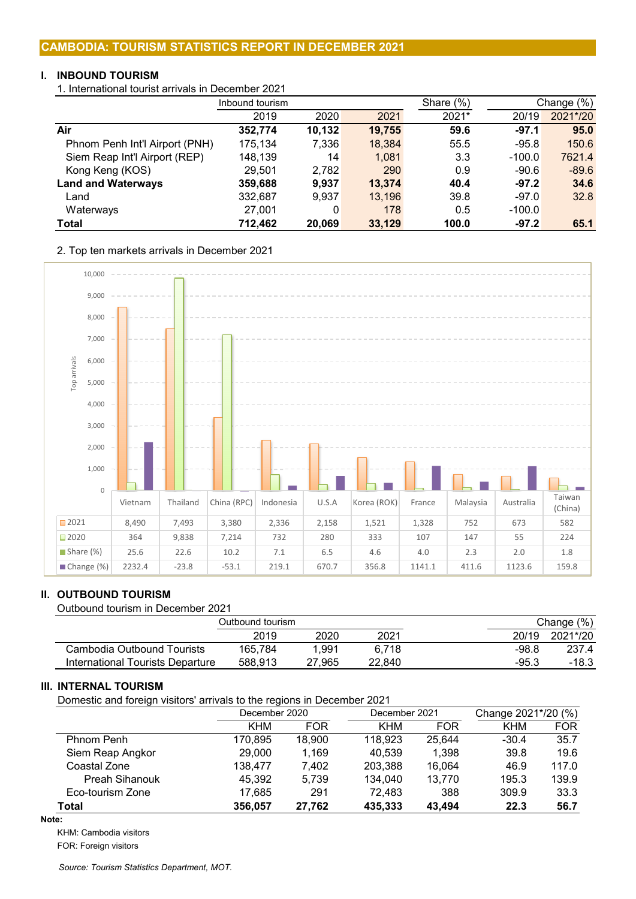# **I. INBOUND TOURISM**

1. International tourist arrivals in December 2021

|                                | Inbound tourism |        |        | Share $(\%)$ |          | Change (%) |
|--------------------------------|-----------------|--------|--------|--------------|----------|------------|
|                                | 2019            | 2020   | 2021   | 2021*        | 20/19    | 2021*/20   |
| Air                            | 352,774         | 10,132 | 19,755 | 59.6         | $-97.1$  | 95.0       |
| Phnom Penh Int'l Airport (PNH) | 175,134         | 7,336  | 18,384 | 55.5         | $-95.8$  | 150.6      |
| Siem Reap Int'l Airport (REP)  | 148,139         | 14     | 1,081  | 3.3          | $-100.0$ | 7621.4     |
| Kong Keng (KOS)                | 29,501          | 2,782  | 290    | 0.9          | $-90.6$  | $-89.6$    |
| <b>Land and Waterways</b>      | 359,688         | 9.937  | 13,374 | 40.4         | $-97.2$  | 34.6       |
| Land                           | 332,687         | 9,937  | 13,196 | 39.8         | $-97.0$  | 32.8       |
| Waterways                      | 27,001          | 0      | 178    | 0.5          | $-100.0$ |            |
| <b>Total</b>                   | 712,462         | 20,069 | 33,129 | 100.0        | $-97.2$  | 65.1       |

2. Top ten markets arrivals in December 2021



# **II. OUTBOUND TOURISM**

Outbound tourism in December 2021

|                                  |         | Change $(\%)$ |        |         |          |
|----------------------------------|---------|---------------|--------|---------|----------|
|                                  | 2019    | 2020          | 2021   | 20/19   | 2021*/20 |
| Cambodia Outbound Tourists       | 165.784 | 1.991         | 6.718  | -98.8   | 237.4    |
| International Tourists Departure | 588.913 | 27.965        | 22.840 | $-95.3$ | $-18.3$  |

# **III. INTERNAL TOURISM**

Domestic and foreign visitors' arrivals to the regions in December 2021

|                       | December 2020 |            | December 2021 |            | Change 2021*/20 (%) |            |  |
|-----------------------|---------------|------------|---------------|------------|---------------------|------------|--|
|                       | <b>KHM</b>    | <b>FOR</b> | <b>KHM</b>    | <b>FOR</b> | <b>KHM</b>          | <b>FOR</b> |  |
| Phnom Penh            | 170,895       | 18,900     | 118,923       | 25,644     | $-30.4$             | 35.7       |  |
| Siem Reap Angkor      | 29,000        | 1.169      | 40.539        | 1,398      | 39.8                | 19.6       |  |
| Coastal Zone          | 138.477       | 7.402      | 203,388       | 16,064     | 46.9                | 117.0      |  |
| <b>Preah Sihanouk</b> | 45,392        | 5.739      | 134,040       | 13,770     | 195.3               | 139.9      |  |
| Eco-tourism Zone      | 17,685        | 291        | 72,483        | 388        | 309.9               | 33.3       |  |
| Total                 | 356,057       | 27,762     | 435,333       | 43.494     | 22.3                | 56.7       |  |

# **Note:**

KHM: Cambodia visitors

FOR: Foreign visitors

*Source: Tourism Statistics Department, MOT.*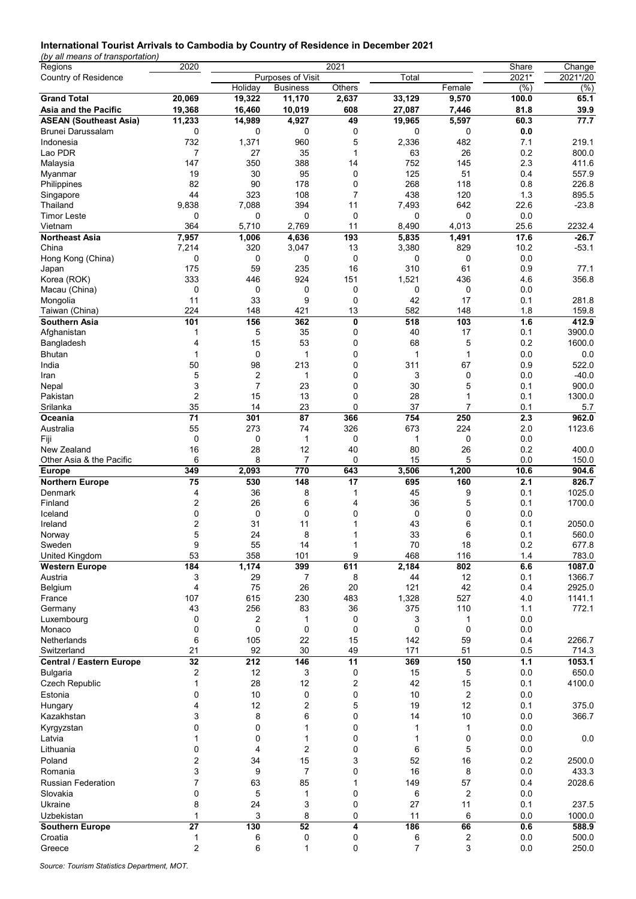#### **International Tourist Arrivals to Cambodia by Country of Residence in December 2021**

*(by all means of transportation)*

| Regions                         | 2020           |                |                   | 2021           |        |                | Share   | Change       |
|---------------------------------|----------------|----------------|-------------------|----------------|--------|----------------|---------|--------------|
| Country of Residence            |                |                | Purposes of Visit |                | Total  |                | $2021*$ | 2021*/20     |
|                                 |                | Holiday        | <b>Business</b>   | Others         |        | Female         | (%)     | $\sqrt{(6)}$ |
| <b>Grand Total</b>              | 20,069         | 19,322         | 11,170            | 2,637          | 33,129 | 9,570          | 100.0   | 65.1         |
| Asia and the Pacific            | 19,368         | 16,460         | 10,019            | 608            | 27,087 | 7,446          | 81.8    | 39.9         |
| <b>ASEAN (Southeast Asia)</b>   | 11,233         | 14,989         | 4,927             | 49             | 19,965 | 5,597          | 60.3    | 77.7         |
| Brunei Darussalam               | 0              | 0              | 0                 | 0              | 0      | 0              | 0.0     |              |
| Indonesia                       | 732            | 1,371          | 960               | 5              | 2,336  | 482            | 7.1     | 219.1        |
| Lao PDR                         | $\overline{7}$ | 27             | 35                | $\mathbf{1}$   | 63     | 26             | 0.2     | 800.0        |
| Malaysia                        | 147            | 350            | 388               | 14             | 752    | 145            | 2.3     | 411.6        |
| Myanmar                         | 19             | 30             | 95                | 0              | 125    | 51             | 0.4     | 557.9        |
| Philippines                     | 82             | 90             | 178               | 0              | 268    | 118            | 0.8     | 226.8        |
| Singapore                       | 44             | 323            | 108               | $\overline{7}$ | 438    | 120            | 1.3     | 895.5        |
| Thailand                        | 9,838          | 7,088          | 394               | 11             | 7,493  | 642            | 22.6    | $-23.8$      |
| Timor Leste                     | 0              | 0              | 0                 | 0              | 0      | $\mathbf 0$    | 0.0     |              |
| Vietnam                         | 364            | 5,710          | 2,769             | 11             | 8,490  | 4,013          | 25.6    | 2232.4       |
| <b>Northeast Asia</b>           | 7,957          | 1,006          | 4,636             | 193            | 5,835  | 1,491          | 17.6    | $-26.7$      |
| China                           | 7,214          | 320            | 3,047             | 13             | 3,380  | 829            | 10.2    | $-53.1$      |
| Hong Kong (China)               | 0              | 0              | 0                 | 0              | 0      | 0              | 0.0     |              |
| Japan                           | 175            | 59             | 235               | 16             | 310    | 61             | 0.9     | 77.1         |
| Korea (ROK)                     | 333            | 446            | 924               | 151            | 1,521  | 436            | 4.6     | 356.8        |
| Macau (China)                   | 0              | 0              | 0                 | 0              | 0      | 0              | 0.0     |              |
| Mongolia                        | 11             | 33             | 9                 | 0              | 42     | 17             | 0.1     | 281.8        |
| Taiwan (China)                  | 224            | 148            | 421               | 13             | 582    | 148            | 1.8     | 159.8        |
| Southern Asia                   | 101            | 156            | 362               | 0              | 518    | 103            | 1.6     | 412.9        |
|                                 |                |                |                   |                |        |                |         |              |
| Afghanistan                     | 1              | 5              | 35                | 0              | 40     | 17             | 0.1     | 3900.0       |
| Bangladesh                      | 4              | 15             | 53                | 0              | 68     | 5              | 0.2     | 1600.0       |
| Bhutan                          | $\mathbf{1}$   | 0              | 1                 | 0              | 1      | $\mathbf{1}$   | 0.0     | 0.0          |
| India                           | 50             | 98             | 213               | 0              | 311    | 67             | 0.9     | 522.0        |
| Iran                            | 5              | $\overline{c}$ | 1                 | 0              | 3      | 0              | 0.0     | $-40.0$      |
| Nepal                           | 3              | $\overline{7}$ | 23                | 0              | 30     | 5              | 0.1     | 900.0        |
| Pakistan                        | $\overline{c}$ | 15             | 13                | 0              | 28     | 1              | 0.1     | 1300.0       |
| Srilanka                        | 35             | 14             | 23                | 0              | 37     | 7              | 0.1     | 5.7          |
| Oceania                         | 71             | 301            | 87                | 366            | 754    | 250            | 2.3     | 962.0        |
| Australia                       | 55             | 273            | 74                | 326            | 673    | 224            | 2.0     | 1123.6       |
| Fiji                            | 0              | 0              | 1                 | 0              | 1      | 0              | 0.0     |              |
| New Zealand                     | 16             | 28             | 12                | 40             | 80     | 26             | 0.2     | 400.0        |
| Other Asia & the Pacific        | 6              | 8              | 7                 | 0              | 15     | 5              | 0.0     | 150.0        |
| <b>Europe</b>                   | 349            | 2,093          | 770               | 643            | 3,506  | 1,200          | 10.6    | 904.6        |
| <b>Northern Europe</b>          | 75             | 530            | 148               | 17             | 695    | 160            | 2.1     | 826.7        |
| Denmark                         | 4              | 36             | 8                 | 1              | 45     | 9              | 0.1     | 1025.0       |
| Finland                         | 2              | 26             | 6                 | 4              | 36     | 5              | 0.1     | 1700.0       |
| Iceland                         | 0              | 0              | 0                 | 0              | 0      | 0              | 0.0     |              |
| Ireland                         | 2              | 31             | 11                | 1              | 43     | 6              | 0.1     | 2050.0       |
| Norway                          | 5              | 24             | 8                 | 1              | 33     | 6              | 0.1     | 560.0        |
| Sweden                          | 9              | 55             | 14                | 1              | 70     | 18             | 0.2     | 677.8        |
| <b>United Kingdom</b>           | 53             | 358            | 101               | 9              | 468    | 116            | 1.4     | 783.0        |
| <b>Western Europe</b>           | 184            | 1,174          | 399               | 611            | 2,184  | 802            | 6.6     | 1087.0       |
| Austria                         | 3              | 29             | 7                 | 8              | 44     | 12             | 0.1     | 1366.7       |
| Belgium                         | $\overline{4}$ | 75             | 26                | 20             | 121    | 42             | 0.4     | 2925.0       |
| France                          | 107            | 615            | 230               | 483            | 1,328  | 527            | 4.0     | 1141.1       |
| Germany                         | 43             | 256            | 83                | 36             | 375    | 110            | 1.1     | 772.1        |
| Luxembourg                      | 0              | 2              | 1                 | 0              | 3      | 1              | 0.0     |              |
|                                 | 0              | 0              | 0                 | 0              | 0      | 0              | 0.0     |              |
| Monaco<br>Netherlands           | 6              | 105            | 22                | 15             |        |                | 0.4     |              |
|                                 |                |                |                   |                | 142    | 59             |         | 2266.7       |
| Switzerland                     | 21             | 92             | 30                | 49             | 171    | 51             | 0.5     | 714.3        |
| <b>Central / Eastern Europe</b> | 32             | 212            | 146               | 11             | 369    | 150            | $1.1$   | 1053.1       |
| <b>Bulgaria</b>                 | 2              | 12             | 3                 | 0              | 15     | 5              | 0.0     | 650.0        |
| Czech Republic                  | $\mathbf{1}$   | 28             | 12                | 2              | 42     | 15             | 0.1     | 4100.0       |
| Estonia                         | 0              | 10             | 0                 | 0              | 10     | $\overline{c}$ | 0.0     |              |
| Hungary                         | 4              | 12             | 2                 | 5              | 19     | 12             | 0.1     | 375.0        |
| Kazakhstan                      | 3              | 8              | 6                 | 0              | 14     | 10             | 0.0     | 366.7        |
| Kyrgyzstan                      | 0              | 0              | 1                 | 0              | 1      | 1              | 0.0     |              |
| Latvia                          | 1              | 0              | $\mathbf{1}$      | 0              | 1      | 0              | 0.0     | 0.0          |
| Lithuania                       | 0              | 4              | 2                 | 0              | 6      | 5              | 0.0     |              |
| Poland                          | 2              | 34             | 15                | 3              | 52     | 16             | 0.2     | 2500.0       |
| Romania                         | 3              | 9              | $\overline{7}$    | 0              | 16     | 8              | 0.0     | 433.3        |
| <b>Russian Federation</b>       | $\overline{7}$ | 63             | 85                | 1              | 149    | 57             | 0.4     | 2028.6       |
|                                 |                |                |                   |                |        |                |         |              |
| Slovakia                        | 0              | 5              | 1                 | 0              | 6      | 2              | 0.0     |              |
| Ukraine                         | 8              | 24             | 3                 | 0              | 27     | 11             | 0.1     | 237.5        |
| Uzbekistan                      | 1              | 3              | 8                 | 0              | 11     | 6              | 0.0     | 1000.0       |
| <b>Southern Europe</b>          | 27             | 130            | 52                | 4              | 186    | 66             | 0.6     | 588.9        |
| Croatia                         | 1              | 6              | 0                 | 0              | 6      | 2              | 0.0     | 500.0        |
| Greece                          | $\overline{c}$ | 6              | $\mathbf{1}$      | 0              | 7      | 3              | 0.0     | 250.0        |

*Source: Tourism Statistics Department, MOT.*